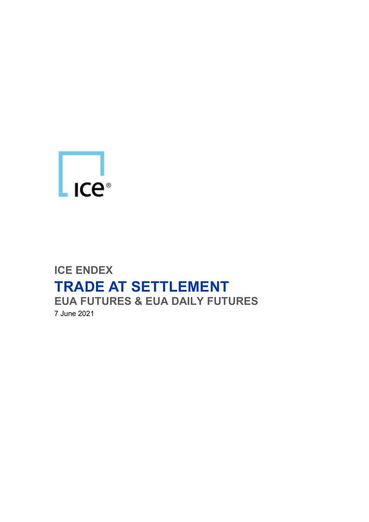

## **ICE ENDEX TRADE AT SETTLEMENT EUA FUTURES & EUA DAILY FUTURES**  7 June 2021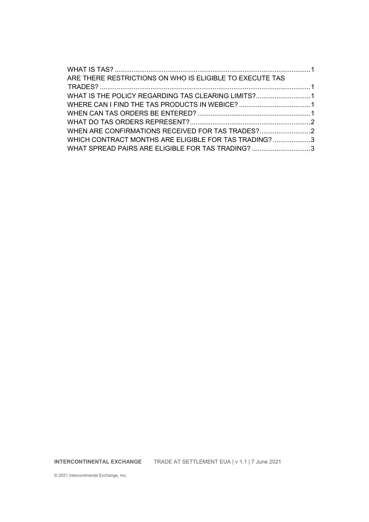| WHAT IS THE POLICY REGARDING TAS CLEARING LIMITS?1   |
|------------------------------------------------------|
|                                                      |
|                                                      |
|                                                      |
| WHEN ARE CONFIRMATIONS RECEIVED FOR TAS TRADES?      |
| WHICH CONTRACT MONTHS ARE ELIGIBLE FOR TAS TRADING?3 |
| WHAT SPREAD PAIRS ARE ELIGIBLE FOR TAS TRADING? 3    |
|                                                      |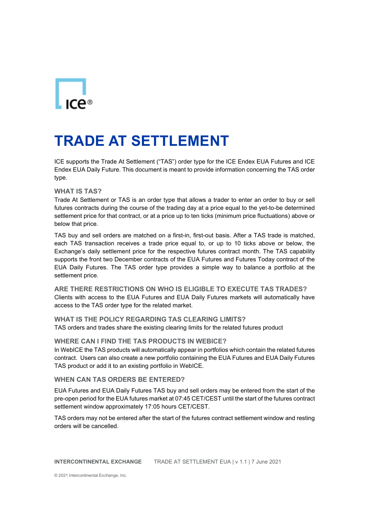# **TRADE AT SETTLEMENT**

ICE supports the Trade At Settlement ("TAS") order type for the ICE Endex EUA Futures and ICE Endex EUA Daily Future. This document is meant to provide information concerning the TAS order type.

#### **WHAT IS TAS?**

Trade At Settlement or TAS is an order type that allows a trader to enter an order to buy or sell futures contracts during the course of the trading day at a price equal to the yet-to-be determined settlement price for that contract, or at a price up to ten ticks (minimum price fluctuations) above or below that price.

TAS buy and sell orders are matched on a first-in, first-out basis. After a TAS trade is matched, each TAS transaction receives a trade price equal to, or up to 10 ticks above or below, the Exchange's daily settlement price for the respective futures contract month. The TAS capability supports the front two December contracts of the EUA Futures and Futures Today contract of the EUA Daily Futures. The TAS order type provides a simple way to balance a portfolio at the settlement price.

**ARE THERE RESTRICTIONS ON WHO IS ELIGIBLE TO EXECUTE TAS TRADES?**  Clients with access to the EUA Futures and EUA Daily Futures markets will automatically have access to the TAS order type for the related market.

### **WHAT IS THE POLICY REGARDING TAS CLEARING LIMITS?**  TAS orders and trades share the existing clearing limits for the related futures product

#### **WHERE CAN I FIND THE TAS PRODUCTS IN WEBICE?**

In WebICE the TAS products will automatically appear in portfolios which contain the related futures contract. Users can also create a new portfolio containing the EUA Futures and EUA Daily Futures TAS product or add it to an existing portfolio in WebICE.

**WHEN CAN TAS ORDERS BE ENTERED?** 

EUA Futures and EUA Daily Futures TAS buy and sell orders may be entered from the start of the pre-open period for the EUA futures market at 07:45 CET/CEST until the start of the futures contract settlement window approximately 17:05 hours CET/CEST.

TAS orders may not be entered after the start of the futures contract settlement window and resting orders will be cancelled.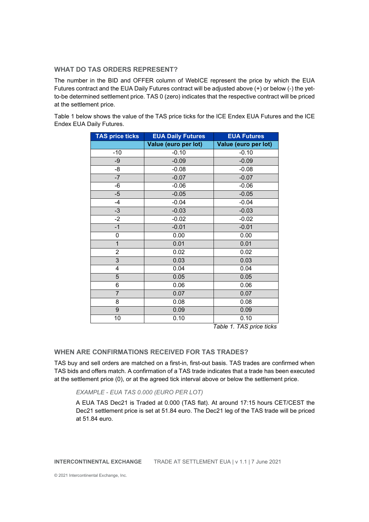#### **WHAT DO TAS ORDERS REPRESENT?**

The number in the BID and OFFER column of WebICE represent the price by which the EUA Futures contract and the EUA Daily Futures contract will be adjusted above (+) or below (-) the yetto-be determined settlement price. TAS 0 (zero) indicates that the respective contract will be priced at the settlement price.

Table 1 below shows the value of the TAS price ticks for the ICE Endex EUA Futures and the ICE Endex EUA Daily Futures.

| <b>TAS price ticks</b>  | <b>EUA Daily Futures</b> | <b>EUA Futures</b>   |
|-------------------------|--------------------------|----------------------|
|                         | Value (euro per lot)     | Value (euro per lot) |
| $-10$                   | $-0.10$                  | $-0.10$              |
| $-9$                    | $-0.09$                  | $-0.09$              |
| -8                      | $-0.08$                  | $-0.08$              |
| $-7$                    | $-0.07$                  | $-0.07$              |
| -6                      | $-0.06$                  | $-0.06$              |
| $-5$                    | $-0.05$                  | $-0.05$              |
| $-4$                    | $-0.04$                  | $-0.04$              |
| $-3$                    | $-0.03$                  | $-0.03$              |
| $-2$                    | $-0.02$                  | $-0.02$              |
| $-1$                    | $-0.01$                  | $-0.01$              |
| 0                       | 0.00                     | 0.00                 |
| $\mathbf{1}$            | 0.01                     | 0.01                 |
| $\overline{\mathbf{c}}$ | 0.02                     | 0.02                 |
| $\overline{3}$          | 0.03                     | 0.03                 |
| 4                       | 0.04                     | 0.04                 |
| 5                       | 0.05                     | 0.05                 |
| 6                       | 0.06                     | 0.06                 |
| $\overline{7}$          | 0.07                     | 0.07                 |
| 8                       | 0.08                     | 0.08                 |
| $\overline{9}$          | 0.09                     | 0.09                 |
| 10                      | 0.10                     | 0.10                 |

 *Table 1. TAS price ticks* 

### **WHEN ARE CONFIRMATIONS RECEIVED FOR TAS TRADES?**

TAS buy and sell orders are matched on a first-in, first-out basis. TAS trades are confirmed when TAS bids and offers match. A confirmation of a TAS trade indicates that a trade has been executed at the settlement price (0), or at the agreed tick interval above or below the settlement price.

#### *EXAMPLE - EUA TAS 0.000 (EURO PER LOT)*

A EUA TAS Dec21 is Traded at 0.000 (TAS flat). At around 17:15 hours CET/CEST the Dec21 settlement price is set at 51.84 euro. The Dec21 leg of the TAS trade will be priced at 51.84 euro.

**INTERCONTINENTAL EXCHANGE** TRADE AT SETTLEMENT EUA | v 1.1 | 7 June 2021